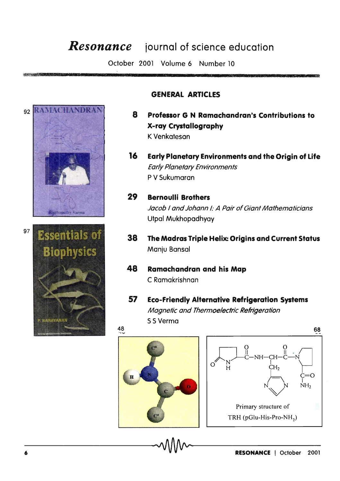## *Resonance* **iournal of science education**

October 2001 Volume 6 Number 10





## **GENERAL ARTICLES**

- **8 Professor G N Ramachandran's Contributions to X-ray Crystallography**  K Venkatesan
- **16 Early Planetary Environments and the Origin of Life**  Early Planetary Environments P V 5ukumaran
- **29 Bernoulli Brothers**  Jacob I and Johann I: A Pair of Giant Mathematicians Utpal Mukhopadhyay
- **38 The Madras Triple Helix: Origins and Current Status**  Manju Bansal
- **48 Ramachandran and his Map**  C Ramakrishnan
- **57 Eco-Friendly Alternative Refrigeration Systems**  Magnetic and Thermoelectric Refrigeration 55 Verma

48